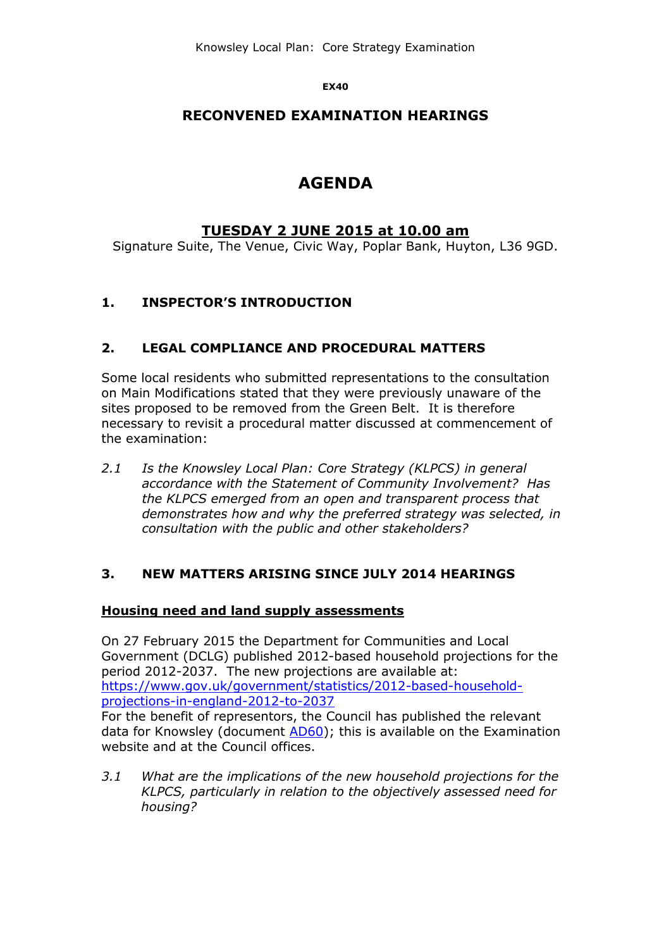**EX40**

# **RECONVENED EXAMINATION HEARINGS**

# **AGENDA**

# **TUESDAY 2 JUNE 2015 at 10.00 am**

Signature Suite, The Venue, Civic Way, Poplar Bank, Huyton, L36 9GD.

# **1. INSPECTOR'S INTRODUCTION**

#### **2. LEGAL COMPLIANCE AND PROCEDURAL MATTERS**

Some local residents who submitted representations to the consultation on Main Modifications stated that they were previously unaware of the sites proposed to be removed from the Green Belt. It is therefore necessary to revisit a procedural matter discussed at commencement of the examination:

*2.1 Is the Knowsley Local Plan: Core Strategy (KLPCS) in general accordance with the Statement of Community Involvement? Has the KLPCS emerged from an open and transparent process that demonstrates how and why the preferred strategy was selected, in consultation with the public and other stakeholders?*

## **3. NEW MATTERS ARISING SINCE JULY 2014 HEARINGS**

#### **Housing need and land supply assessments**

On 27 February 2015 the Department for Communities and Local Government (DCLG) published 2012-based household projections for the period 2012-2037. The new projections are available at: [https://www.gov.uk/government/statistics/2012-based-household](https://www.gov.uk/government/statistics/2012-based-household-projections-in-england-2012-to-2037)[projections-in-england-2012-to-2037](https://www.gov.uk/government/statistics/2012-based-household-projections-in-england-2012-to-2037)

For the benefit of representors, the Council has published the relevant data for Knowsley (document [AD60\)](http://www.knowsley.gov.uk/residents/building-and-planning/local-plan/examination-2013/examination-library/examination-documents.aspx); this is available on the Examination website and at the Council offices.

*3.1 What are the implications of the new household projections for the KLPCS, particularly in relation to the objectively assessed need for housing?*